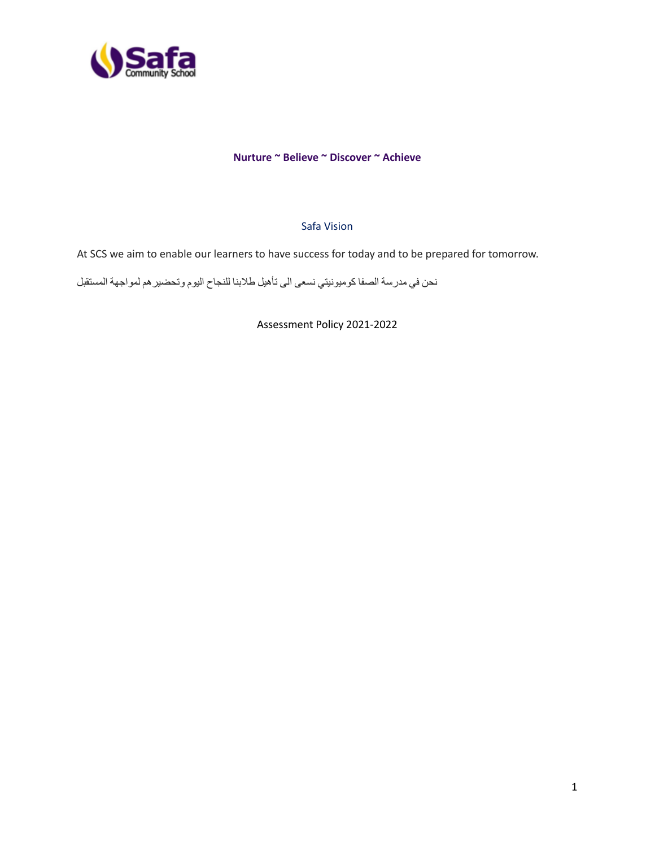

#### **Nurture ~ Believe ~ Discover ~ Achieve**

#### Safa Vision

At SCS we aim to enable our learners to have success for today and to be prepared for tomorrow.

نحن في مدرسة الصفا كوميونيتي نسعى الى تأهيل طالبنا للنجاح اليوم وتحضيرهم لمواجهة المستقبل

Assessment Policy 2021-2022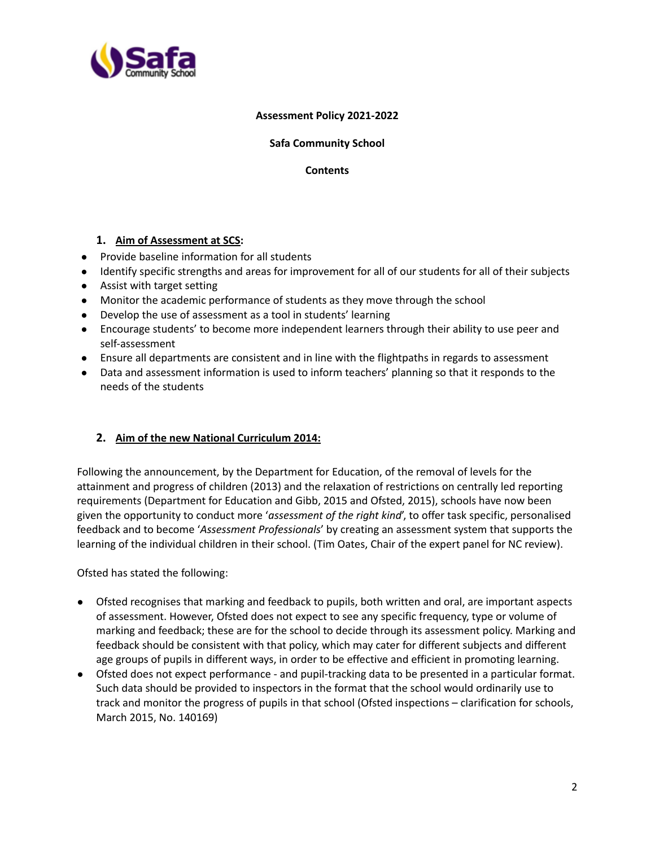

#### **Assessment Policy 2021-2022**

### **Safa Community School**

**Contents**

# **1. Aim of Assessment at SCS:**

- Provide baseline information for all students
- Identify specific strengths and areas for improvement for all of our students for all of their subjects
- Assist with target setting
- Monitor the academic performance of students as they move through the school
- Develop the use of assessment as a tool in students' learning
- Encourage students' to become more independent learners through their ability to use peer and self-assessment
- Ensure all departments are consistent and in line with the flightpaths in regards to assessment
- Data and assessment information is used to inform teachers' planning so that it responds to the needs of the students

# **2. Aim of the new National Curriculum 2014:**

Following the announcement, by the Department for Education, of the removal of levels for the attainment and progress of children (2013) and the relaxation of restrictions on centrally led reporting requirements (Department for Education and Gibb, 2015 and Ofsted, 2015), schools have now been given the opportunity to conduct more '*assessment of the right kind*', to offer task specific, personalised feedback and to become '*Assessment Professionals*' by creating an assessment system that supports the learning of the individual children in their school. (Tim Oates, Chair of the expert panel for NC review).

Ofsted has stated the following:

- Ofsted recognises that marking and feedback to pupils, both written and oral, are important aspects of assessment. However, Ofsted does not expect to see any specific frequency, type or volume of marking and feedback; these are for the school to decide through its assessment policy. Marking and feedback should be consistent with that policy, which may cater for different subjects and different age groups of pupils in different ways, in order to be effective and efficient in promoting learning.
- Ofsted does not expect performance and pupil-tracking data to be presented in a particular format. Such data should be provided to inspectors in the format that the school would ordinarily use to track and monitor the progress of pupils in that school (Ofsted inspections – clarification for schools, March 2015, No. 140169)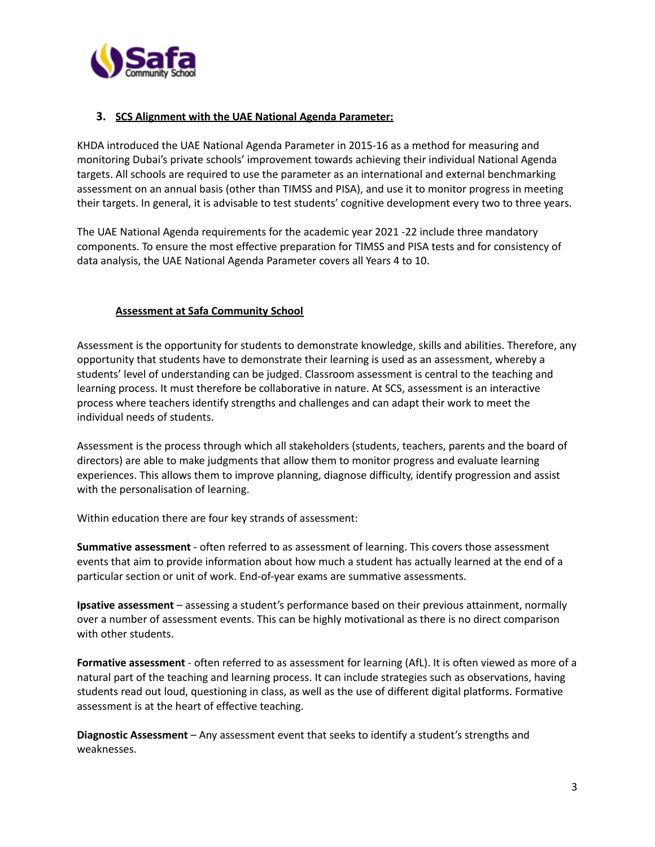

## **3. SCS Alignment with the UAE National Agenda Parameter:**

KHDA introduced the UAE National Agenda Parameter in 2015-16 as a method for measuring and monitoring Dubai's private schools' improvement towards achieving their individual National Agenda targets. All schools are required to use the parameter as an international and external benchmarking assessment on an annual basis (other than TIMSS and PISA), and use it to monitor progress in meeting their targets. In general, it is advisable to test students' cognitive development every two to three years.

The UAE National Agenda requirements for the academic year 2021 -22 include three mandatory components. To ensure the most effective preparation for TIMSS and PISA tests and for consistency of data analysis, the UAE National Agenda Parameter covers all Years 4 to 10.

### **Assessment at Safa Community School**

Assessment is the opportunity for students to demonstrate knowledge, skills and abilities. Therefore, any opportunity that students have to demonstrate their learning is used as an assessment, whereby a students' level of understanding can be judged. Classroom assessment is central to the teaching and learning process. It must therefore be collaborative in nature. At SCS, assessment is an interactive process where teachers identify strengths and challenges and can adapt their work to meet the individual needs of students.

Assessment is the process through which all stakeholders (students, teachers, parents and the board of directors) are able to make judgments that allow them to monitor progress and evaluate learning experiences. This allows them to improve planning, diagnose difficulty, identify progression and assist with the personalisation of learning.

Within education there are four key strands of assessment:

**Summative assessment** - often referred to as assessment of learning. This covers those assessment events that aim to provide information about how much a student has actually learned at the end of a particular section or unit of work. End-of-year exams are summative assessments.

**Ipsative assessment** – assessing a student's performance based on their previous attainment, normally over a number of assessment events. This can be highly motivational as there is no direct comparison with other students.

**Formative assessment** - often referred to as assessment for learning (AfL). It is often viewed as more of a natural part of the teaching and learning process. It can include strategies such as observations, having students read out loud, questioning in class, as well as the use of different digital platforms. Formative assessment is at the heart of effective teaching.

**Diagnostic Assessment** – Any assessment event that seeks to identify a student's strengths and weaknesses.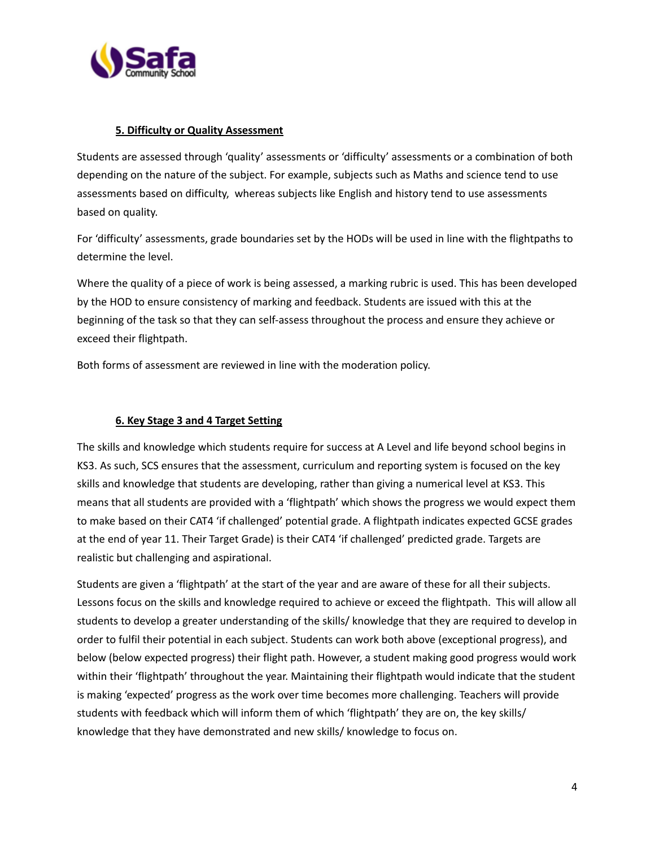

### **5. Difficulty or Quality Assessment**

Students are assessed through 'quality' assessments or 'difficulty' assessments or a combination of both depending on the nature of the subject. For example, subjects such as Maths and science tend to use assessments based on difficulty, whereas subjects like English and history tend to use assessments based on quality.

For 'difficulty' assessments, grade boundaries set by the HODs will be used in line with the flightpaths to determine the level.

Where the quality of a piece of work is being assessed, a marking rubric is used. This has been developed by the HOD to ensure consistency of marking and feedback. Students are issued with this at the beginning of the task so that they can self-assess throughout the process and ensure they achieve or exceed their flightpath.

Both forms of assessment are reviewed in line with the moderation policy.

## **6. Key Stage 3 and 4 Target Setting**

The skills and knowledge which students require for success at A Level and life beyond school begins in KS3. As such, SCS ensures that the assessment, curriculum and reporting system is focused on the key skills and knowledge that students are developing, rather than giving a numerical level at KS3. This means that all students are provided with a 'flightpath' which shows the progress we would expect them to make based on their CAT4 'if challenged' potential grade. A flightpath indicates expected GCSE grades at the end of year 11. Their Target Grade) is their CAT4 'if challenged' predicted grade. Targets are realistic but challenging and aspirational.

Students are given a 'flightpath' at the start of the year and are aware of these for all their subjects. Lessons focus on the skills and knowledge required to achieve or exceed the flightpath. This will allow all students to develop a greater understanding of the skills/ knowledge that they are required to develop in order to fulfil their potential in each subject. Students can work both above (exceptional progress), and below (below expected progress) their flight path. However, a student making good progress would work within their 'flightpath' throughout the year. Maintaining their flightpath would indicate that the student is making 'expected' progress as the work over time becomes more challenging. Teachers will provide students with feedback which will inform them of which 'flightpath' they are on, the key skills/ knowledge that they have demonstrated and new skills/ knowledge to focus on.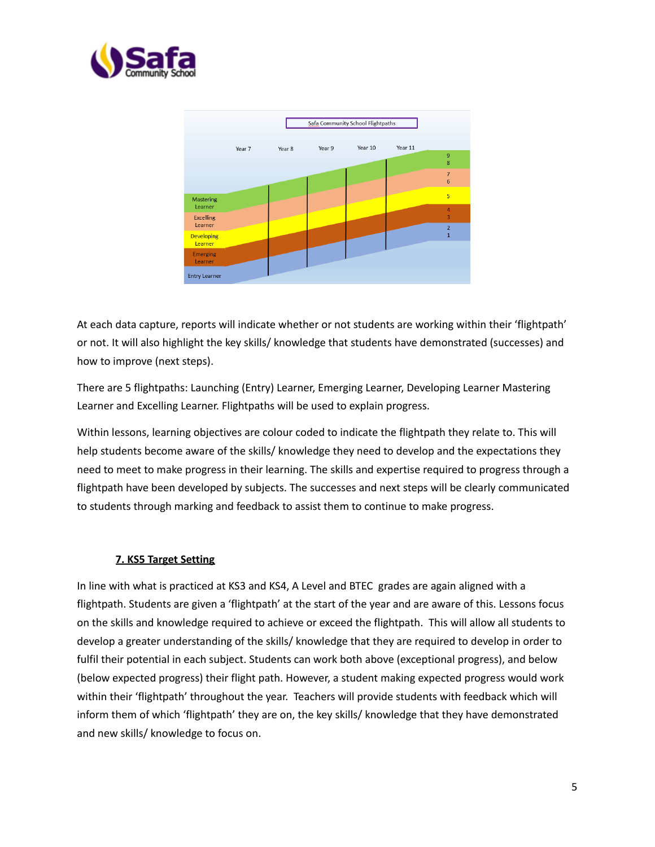



At each data capture, reports will indicate whether or not students are working within their 'flightpath' or not. It will also highlight the key skills/ knowledge that students have demonstrated (successes) and how to improve (next steps).

There are 5 flightpaths: Launching (Entry) Learner, Emerging Learner, Developing Learner Mastering Learner and Excelling Learner. Flightpaths will be used to explain progress.

Within lessons, learning objectives are colour coded to indicate the flightpath they relate to. This will help students become aware of the skills/ knowledge they need to develop and the expectations they need to meet to make progress in their learning. The skills and expertise required to progress through a flightpath have been developed by subjects. The successes and next steps will be clearly communicated to students through marking and feedback to assist them to continue to make progress.

#### **7. KS5 Target Setting**

In line with what is practiced at KS3 and KS4, A Level and BTEC grades are again aligned with a flightpath. Students are given a 'flightpath' at the start of the year and are aware of this. Lessons focus on the skills and knowledge required to achieve or exceed the flightpath. This will allow all students to develop a greater understanding of the skills/ knowledge that they are required to develop in order to fulfil their potential in each subject. Students can work both above (exceptional progress), and below (below expected progress) their flight path. However, a student making expected progress would work within their 'flightpath' throughout the year. Teachers will provide students with feedback which will inform them of which 'flightpath' they are on, the key skills/ knowledge that they have demonstrated and new skills/ knowledge to focus on.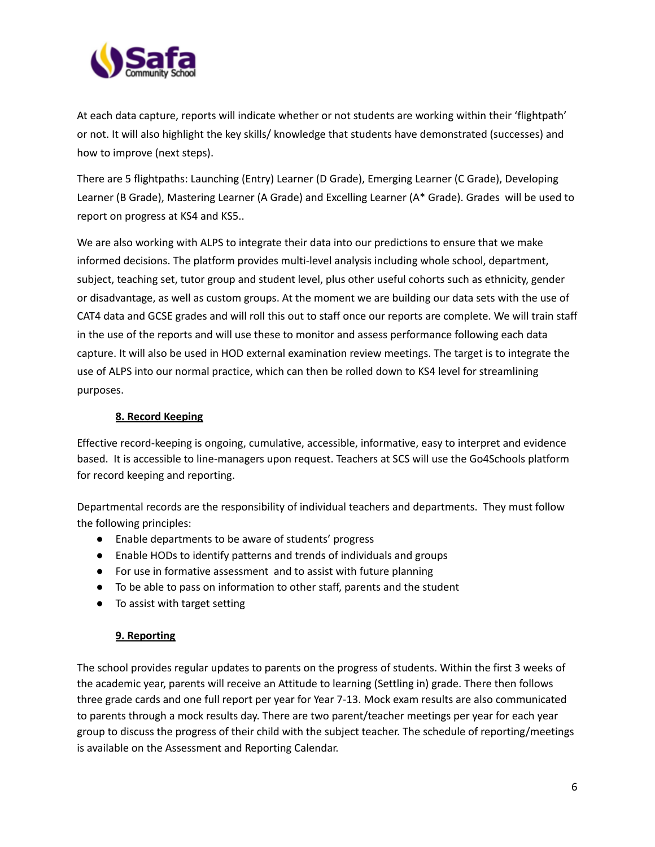

At each data capture, reports will indicate whether or not students are working within their 'flightpath' or not. It will also highlight the key skills/ knowledge that students have demonstrated (successes) and how to improve (next steps).

There are 5 flightpaths: Launching (Entry) Learner (D Grade), Emerging Learner (C Grade), Developing Learner (B Grade), Mastering Learner (A Grade) and Excelling Learner (A\* Grade). Grades will be used to report on progress at KS4 and KS5..

We are also working with ALPS to integrate their data into our predictions to ensure that we make informed decisions. The platform provides multi-level analysis including whole school, department, subject, teaching set, tutor group and student level, plus other useful cohorts such as ethnicity, gender or disadvantage, as well as custom groups. At the moment we are building our data sets with the use of CAT4 data and GCSE grades and will roll this out to staff once our reports are complete. We will train staff in the use of the reports and will use these to monitor and assess performance following each data capture. It will also be used in HOD external examination review meetings. The target is to integrate the use of ALPS into our normal practice, which can then be rolled down to KS4 level for streamlining purposes.

### **8. Record Keeping**

Effective record-keeping is ongoing, cumulative, accessible, informative, easy to interpret and evidence based. It is accessible to line-managers upon request. Teachers at SCS will use the Go4Schools platform for record keeping and reporting.

Departmental records are the responsibility of individual teachers and departments. They must follow the following principles:

- Enable departments to be aware of students' progress
- Enable HODs to identify patterns and trends of individuals and groups
- For use in formative assessment and to assist with future planning
- To be able to pass on information to other staff, parents and the student
- To assist with target setting

# **9. Reporting**

The school provides regular updates to parents on the progress of students. Within the first 3 weeks of the academic year, parents will receive an Attitude to learning (Settling in) grade. There then follows three grade cards and one full report per year for Year 7-13. Mock exam results are also communicated to parents through a mock results day. There are two parent/teacher meetings per year for each year group to discuss the progress of their child with the subject teacher. The schedule of reporting/meetings is available on the Assessment and Reporting Calendar.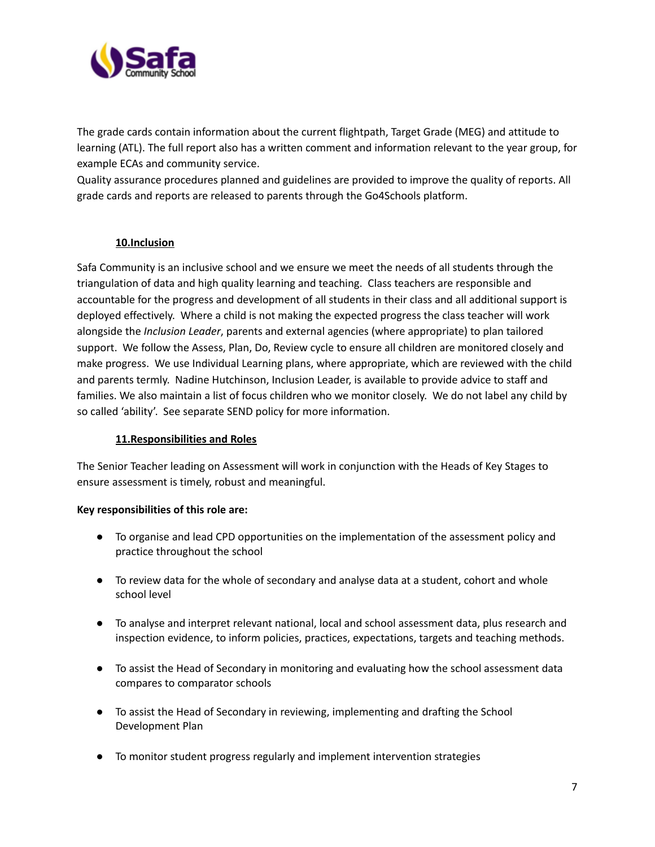

The grade cards contain information about the current flightpath, Target Grade (MEG) and attitude to learning (ATL). The full report also has a written comment and information relevant to the year group, for example ECAs and community service.

Quality assurance procedures planned and guidelines are provided to improve the quality of reports. All grade cards and reports are released to parents through the Go4Schools platform.

### **10.Inclusion**

Safa Community is an inclusive school and we ensure we meet the needs of all students through the triangulation of data and high quality learning and teaching. Class teachers are responsible and accountable for the progress and development of all students in their class and all additional support is deployed effectively. Where a child is not making the expected progress the class teacher will work alongside the *Inclusion Leader*, parents and external agencies (where appropriate) to plan tailored support. We follow the Assess, Plan, Do, Review cycle to ensure all children are monitored closely and make progress. We use Individual Learning plans, where appropriate, which are reviewed with the child and parents termly. Nadine Hutchinson, Inclusion Leader, is available to provide advice to staff and families. We also maintain a list of focus children who we monitor closely. We do not label any child by so called 'ability'. See separate SEND policy for more information.

#### **11.Responsibilities and Roles**

The Senior Teacher leading on Assessment will work in conjunction with the Heads of Key Stages to ensure assessment is timely, robust and meaningful.

#### **Key responsibilities of this role are:**

- To organise and lead CPD opportunities on the implementation of the assessment policy and practice throughout the school
- To review data for the whole of secondary and analyse data at a student, cohort and whole school level
- To analyse and interpret relevant national, local and school assessment data, plus research and inspection evidence, to inform policies, practices, expectations, targets and teaching methods.
- To assist the Head of Secondary in monitoring and evaluating how the school assessment data compares to comparator schools
- To assist the Head of Secondary in reviewing, implementing and drafting the School Development Plan
- To monitor student progress regularly and implement intervention strategies